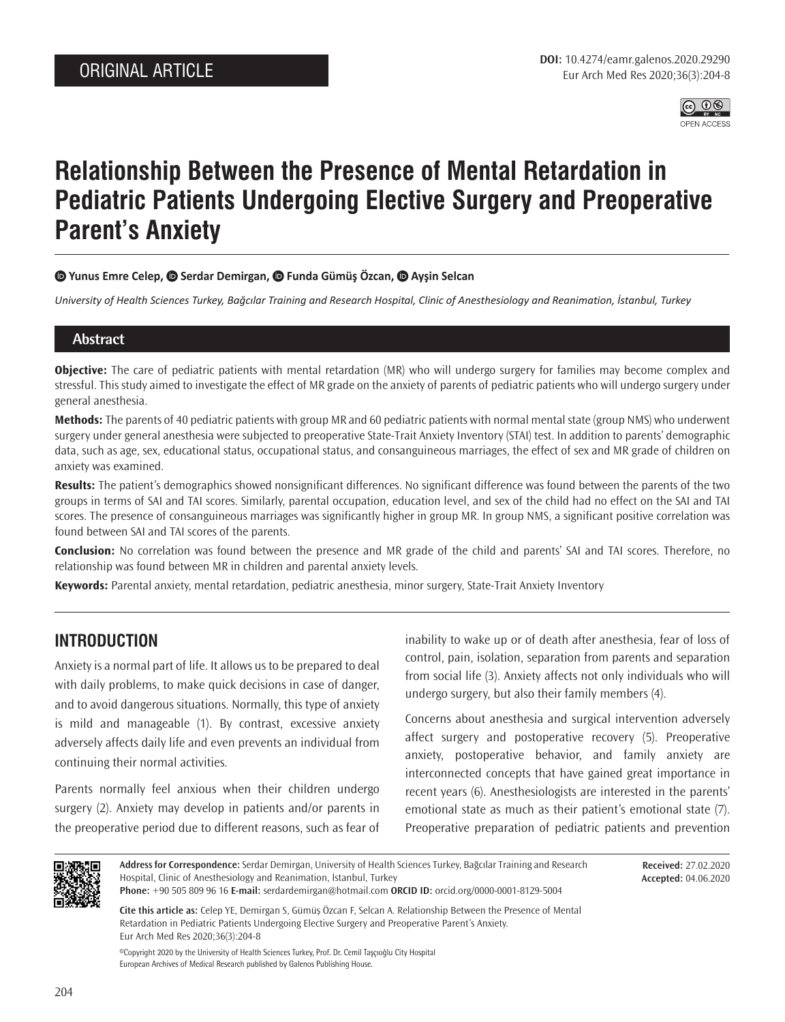

# **Relationship Between the Presence of Mental Retardation in Pediatric Patients Undergoing Elective Surgery and Preoperative Parent's Anxiety**

### $\bullet$  **Yunus Emre Celep,**  $\bullet$  **Serdar Demirgan,**  $\bullet$  **Funda Gümüş Özcan,**  $\bullet$  **Ayşin Selcan**

*University of Health Sciences Turkey, Bağcılar Training and Research Hospital, Clinic of Anesthesiology and Reanimation, İstanbul, Turkey*

### **Abstract**

**Objective:** The care of pediatric patients with mental retardation (MR) who will undergo surgery for families may become complex and stressful. This study aimed to investigate the effect of MR grade on the anxiety of parents of pediatric patients who will undergo surgery under general anesthesia.

**Methods:** The parents of 40 pediatric patients with group MR and 60 pediatric patients with normal mental state (group NMS) who underwent surgery under general anesthesia were subjected to preoperative State-Trait Anxiety Inventory (STAI) test. In addition to parents' demographic data, such as age, sex, educational status, occupational status, and consanguineous marriages, the effect of sex and MR grade of children on anxiety was examined.

**Results:** The patient's demographics showed nonsignificant differences. No significant difference was found between the parents of the two groups in terms of SAI and TAI scores. Similarly, parental occupation, education level, and sex of the child had no effect on the SAI and TAI scores. The presence of consanguineous marriages was significantly higher in group MR. In group NMS, a significant positive correlation was found between SAI and TAI scores of the parents.

**Conclusion:** No correlation was found between the presence and MR grade of the child and parents' SAI and TAI scores. Therefore, no relationship was found between MR in children and parental anxiety levels.

**Keywords:** Parental anxiety, mental retardation, pediatric anesthesia, minor surgery, State-Trait Anxiety Inventory

# **INTRODUCTION**

Anxiety is a normal part of life. It allows us to be prepared to deal with daily problems, to make quick decisions in case of danger, and to avoid dangerous situations. Normally, this type of anxiety is mild and manageable (1). By contrast, excessive anxiety adversely affects daily life and even prevents an individual from continuing their normal activities.

Parents normally feel anxious when their children undergo surgery (2). Anxiety may develop in patients and/or parents in the preoperative period due to different reasons, such as fear of inability to wake up or of death after anesthesia, fear of loss of control, pain, isolation, separation from parents and separation from social life (3). Anxiety affects not only individuals who will undergo surgery, but also their family members (4).

Concerns about anesthesia and surgical intervention adversely affect surgery and postoperative recovery (5). Preoperative anxiety, postoperative behavior, and family anxiety are interconnected concepts that have gained great importance in recent years (6). Anesthesiologists are interested in the parents' emotional state as much as their patient's emotional state (7). Preoperative preparation of pediatric patients and prevention



**Address for Correspondence:** Serdar Demirgan, University of Health Sciences Turkey, Bağcılar Training and Research Hospital, Clinic of Anesthesiology and Reanimation, İstanbul, Turkey **Phone:** +90 505 809 96 16 **E-mail:** serdardemirgan@hotmail.com **ORCID ID:** orcid.org/0000-0001-8129-5004

**Received:** 27.02.2020 **Accepted:** 04.06.2020

**Cite this article as:** Celep YE, Demirgan S, Gümüş Özcan F, Selcan A. Relationship Between the Presence of Mental Retardation in Pediatric Patients Undergoing Elective Surgery and Preoperative Parent's Anxiety. Eur Arch Med Res 2020;36(3):204-8

©Copyright 2020 by the University of Health Sciences Turkey, Prof. Dr. Cemil Taşçıoğlu City Hospital European Archives of Medical Research published by Galenos Publishing House.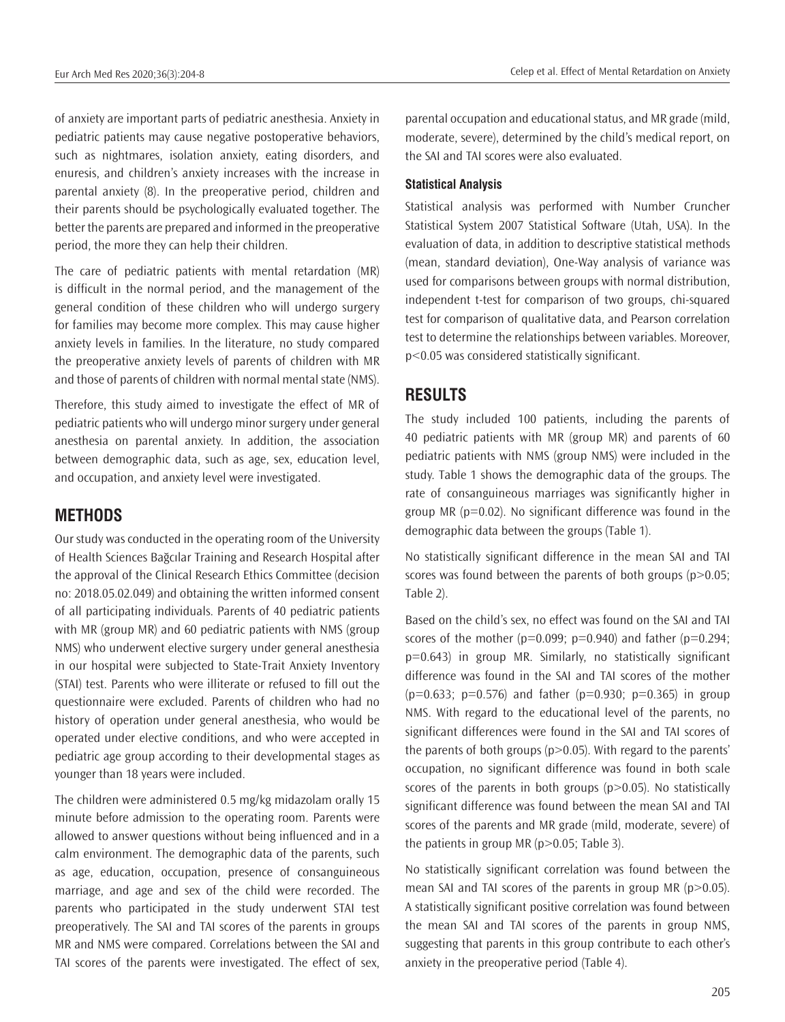of anxiety are important parts of pediatric anesthesia. Anxiety in pediatric patients may cause negative postoperative behaviors, such as nightmares, isolation anxiety, eating disorders, and enuresis, and children's anxiety increases with the increase in parental anxiety (8). In the preoperative period, children and their parents should be psychologically evaluated together. The better the parents are prepared and informed in the preoperative period, the more they can help their children.

The care of pediatric patients with mental retardation (MR) is difficult in the normal period, and the management of the general condition of these children who will undergo surgery for families may become more complex. This may cause higher anxiety levels in families. In the literature, no study compared the preoperative anxiety levels of parents of children with MR and those of parents of children with normal mental state (NMS).

Therefore, this study aimed to investigate the effect of MR of pediatric patients who will undergo minor surgery under general anesthesia on parental anxiety. In addition, the association between demographic data, such as age, sex, education level, and occupation, and anxiety level were investigated.

### **METHODS**

Our study was conducted in the operating room of the University of Health Sciences Bağcılar Training and Research Hospital after the approval of the Clinical Research Ethics Committee (decision no: 2018.05.02.049) and obtaining the written informed consent of all participating individuals. Parents of 40 pediatric patients with MR (group MR) and 60 pediatric patients with NMS (group NMS) who underwent elective surgery under general anesthesia in our hospital were subjected to State-Trait Anxiety Inventory (STAI) test. Parents who were illiterate or refused to fill out the questionnaire were excluded. Parents of children who had no history of operation under general anesthesia, who would be operated under elective conditions, and who were accepted in pediatric age group according to their developmental stages as younger than 18 years were included.

The children were administered 0.5 mg/kg midazolam orally 15 minute before admission to the operating room. Parents were allowed to answer questions without being influenced and in a calm environment. The demographic data of the parents, such as age, education, occupation, presence of consanguineous marriage, and age and sex of the child were recorded. The parents who participated in the study underwent STAI test preoperatively. The SAI and TAI scores of the parents in groups MR and NMS were compared. Correlations between the SAI and TAI scores of the parents were investigated. The effect of sex, parental occupation and educational status, and MR grade (mild, moderate, severe), determined by the child's medical report, on the SAI and TAI scores were also evaluated.

#### **Statistical Analysis**

Statistical analysis was performed with Number Cruncher Statistical System 2007 Statistical Software (Utah, USA). In the evaluation of data, in addition to descriptive statistical methods (mean, standard deviation), One-Way analysis of variance was used for comparisons between groups with normal distribution, independent t-test for comparison of two groups, chi-squared test for comparison of qualitative data, and Pearson correlation test to determine the relationships between variables. Moreover, p<0.05 was considered statistically significant.

# **RESULTS**

The study included 100 patients, including the parents of 40 pediatric patients with MR (group MR) and parents of 60 pediatric patients with NMS (group NMS) were included in the study. Table 1 shows the demographic data of the groups. The rate of consanguineous marriages was significantly higher in group MR ( $p=0.02$ ). No significant difference was found in the demographic data between the groups (Table 1).

No statistically significant difference in the mean SAI and TAI scores was found between the parents of both groups (p>0.05; Table 2).

Based on the child's sex, no effect was found on the SAI and TAI scores of the mother ( $p=0.099$ ;  $p=0.940$ ) and father ( $p=0.294$ ; p=0.643) in group MR. Similarly, no statistically significant difference was found in the SAI and TAI scores of the mother  $(p=0.633; p=0.576)$  and father  $(p=0.930; p=0.365)$  in group NMS. With regard to the educational level of the parents, no significant differences were found in the SAI and TAI scores of the parents of both groups (p>0.05). With regard to the parents' occupation, no significant difference was found in both scale scores of the parents in both groups (p>0.05). No statistically significant difference was found between the mean SAI and TAI scores of the parents and MR grade (mild, moderate, severe) of the patients in group MR (p>0.05; Table 3).

No statistically significant correlation was found between the mean SAI and TAI scores of the parents in group MR (p>0.05). A statistically significant positive correlation was found between the mean SAI and TAI scores of the parents in group NMS, suggesting that parents in this group contribute to each other's anxiety in the preoperative period (Table 4).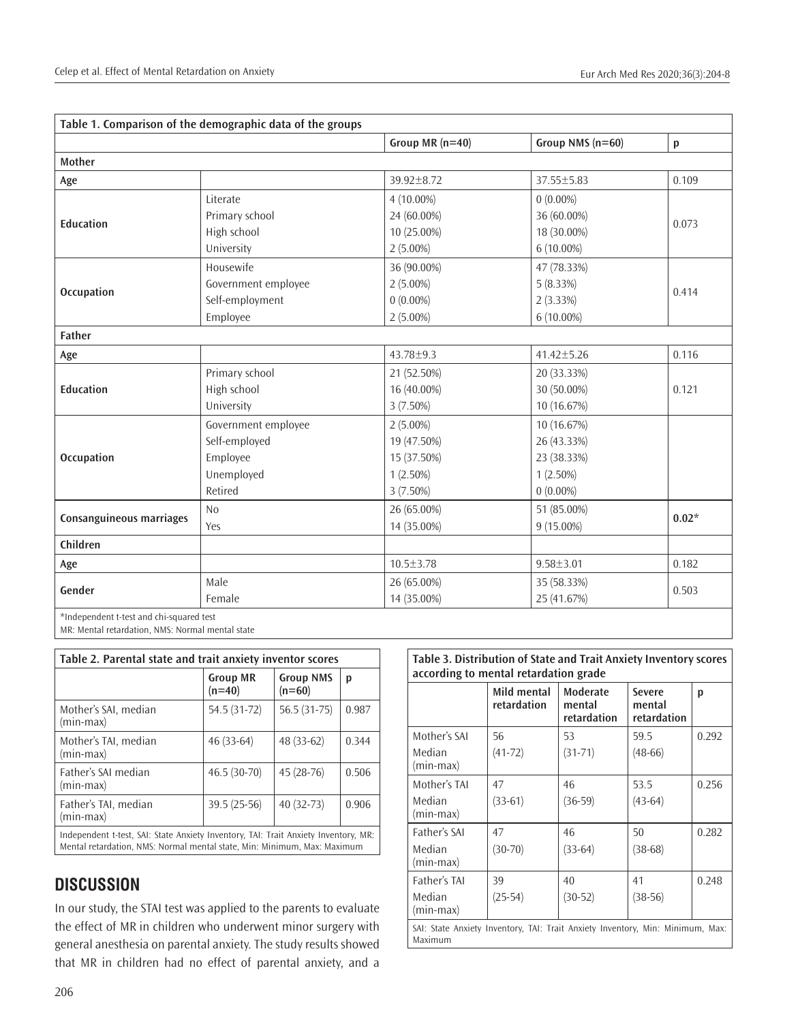|                                          |                     | Group MR $(n=40)$ | Group NMS (n=60) | $\mathsf{p}% _{T}\!\left( \mathsf{p}\right)$ |  |
|------------------------------------------|---------------------|-------------------|------------------|----------------------------------------------|--|
| Mother                                   |                     |                   |                  |                                              |  |
| Age                                      |                     | 39.92±8.72        | 37.55±5.83       | 0.109                                        |  |
| <b>Education</b>                         | Literate            | 4 (10.00%)        | $0(0.00\%)$      | 0.073                                        |  |
|                                          | Primary school      | 24 (60.00%)       | 36 (60.00%)      |                                              |  |
|                                          | High school         | 10 (25.00%)       | 18 (30.00%)      |                                              |  |
|                                          | University          | $2(5.00\%)$       | 6 (10.00%)       |                                              |  |
| <b>Occupation</b>                        | Housewife           | 36 (90.00%)       | 47 (78.33%)      |                                              |  |
|                                          | Government employee | $2(5.00\%)$       | 5(8.33%)         | 0.414                                        |  |
|                                          | Self-employment     | $0(0.00\%)$       | 2(3.33%)         |                                              |  |
|                                          | Employee            | $2(5.00\%)$       | 6 (10.00%)       |                                              |  |
| Father                                   |                     |                   |                  |                                              |  |
| Age                                      |                     | $43.78 \pm 9.3$   | $41.42 \pm 5.26$ | 0.116                                        |  |
|                                          | Primary school      | 21 (52.50%)       | 20 (33.33%)      |                                              |  |
| <b>Education</b>                         | High school         | 16 (40.00%)       | 30 (50.00%)      | 0.121                                        |  |
|                                          | University          | 3 (7.50%)         | 10 (16.67%)      |                                              |  |
|                                          | Government employee | $2(5.00\%)$       | 10 (16.67%)      |                                              |  |
|                                          | Self-employed       | 19 (47.50%)       | 26 (43.33%)      |                                              |  |
| <b>Occupation</b>                        | Employee            | 15 (37.50%)       | 23 (38.33%)      |                                              |  |
|                                          | Unemployed          | $1(2.50\%)$       | $1(2.50\%)$      |                                              |  |
|                                          | Retired             | $3(7.50\%)$       | $0(0.00\%)$      |                                              |  |
| Consanguineous marriages                 | N <sub>0</sub>      | 26 (65.00%)       | 51 (85.00%)      | $0.02*$                                      |  |
|                                          | Yes                 | 14 (35.00%)       | 9 (15.00%)       |                                              |  |
| Children                                 |                     |                   |                  |                                              |  |
| Age                                      |                     | $10.5 \pm 3.78$   | $9.58 \pm 3.01$  | 0.182                                        |  |
|                                          | Male                | 26 (65.00%)       | 35 (58.33%)      |                                              |  |
| Gender                                   | Female              | 14 (35.00%)       | 25 (41.67%)      | 0.503                                        |  |
| *Independent t-test and chi-squared test |                     |                   |                  |                                              |  |

MR: Mental retardation, NMS: Normal mental state

| Table 2. Parental state and trait anxiety inventor scores |                             |                              |       |  |  |  |
|-----------------------------------------------------------|-----------------------------|------------------------------|-------|--|--|--|
|                                                           | <b>Group MR</b><br>$(n=40)$ | <b>Group NMS</b><br>$(n=60)$ | р     |  |  |  |
| Mother's SAI, median<br>(min-max)                         | 54.5 (31-72)                | 56.5 (31-75)                 | 0.987 |  |  |  |
| Mother's TAI, median<br>(min-max)                         | $46(33-64)$                 | 48 (33-62)                   | 0.344 |  |  |  |
| Father's SAI median<br>(min-max)                          | 46.5 (30-70)                | 45 (28-76)                   | 0.506 |  |  |  |
| Father's TAI, median<br>(min-max)                         | 39.5 (25-56)                | 40 (32-73)                   | 0.906 |  |  |  |
|                                                           |                             |                              |       |  |  |  |

Independent t-test, SAI: State Anxiety Inventory, TAI: Trait Anxiety Inventory, MR: Mental retardation, NMS: Normal mental state, Min: Minimum, Max: Maximum

# **DISCUSSION**

In our study, the STAI test was applied to the parents to evaluate the effect of MR in children who underwent minor surgery with general anesthesia on parental anxiety. The study results showed that MR in children had no effect of parental anxiety, and a

### **Table 3. Distribution of State and Trait Anxiety Inventory scores according to mental retardation grade**

|                                                                                           | Mild mental<br>retardation | Moderate<br>mental<br>retardation | Severe<br>mental<br>retardation | p     |
|-------------------------------------------------------------------------------------------|----------------------------|-----------------------------------|---------------------------------|-------|
| Mother's SAI                                                                              | 56                         | 53                                | 59.5                            | 0.292 |
| Median<br>(min-max)                                                                       | $(41-72)$                  | $(31 - 71)$                       | $(48-66)$                       |       |
| Mother's TAI                                                                              | 47                         | 46                                | 53.5                            | 0.256 |
| Median<br>(min-max)                                                                       | $(33-61)$                  | $(36-59)$                         | $(43-64)$                       |       |
| Father's SAI                                                                              | 47                         | 46                                | 50                              | 0.282 |
| Median<br>(min-max)                                                                       | $(30 - 70)$                | $(33-64)$                         | $(38-68)$                       |       |
| Father's TAI                                                                              | 39                         | 40                                | 41                              | 0.248 |
| Median<br>(min-max)                                                                       | $(25-54)$                  | $(30-52)$                         | $(38-56)$                       |       |
| SAI: State Anxiety Inventory, TAI: Trait Anxiety Inventory, Min: Minimum, Max:<br>Maximum |                            |                                   |                                 |       |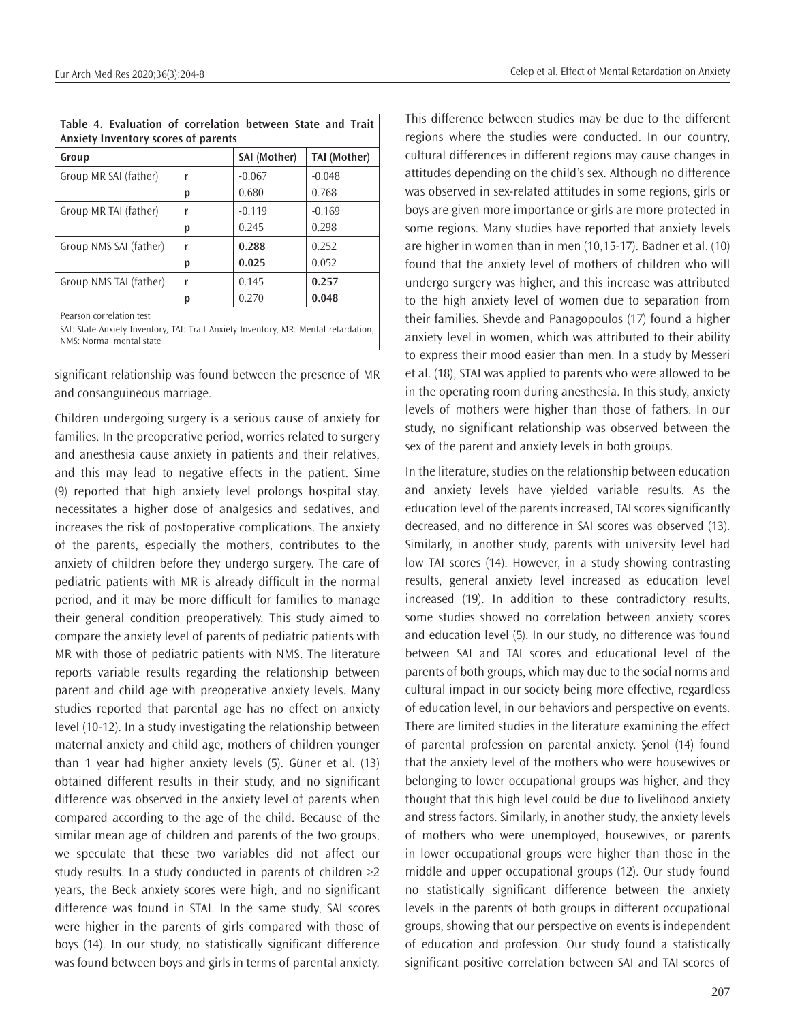| Table 4. Evaluation of correlation between State and Trait<br>Anxiety Inventory scores of parents |   |              |                     |  |  |  |
|---------------------------------------------------------------------------------------------------|---|--------------|---------------------|--|--|--|
| Group                                                                                             |   | SAI (Mother) | <b>TAI (Mother)</b> |  |  |  |
| Group MR SAI (father)                                                                             | r | $-0.067$     | $-0.048$            |  |  |  |
|                                                                                                   | р | 0.680        | 0.768               |  |  |  |
| Group MR TAI (father)                                                                             | r | $-0.119$     | $-0.169$            |  |  |  |
|                                                                                                   | р | 0.245        | 0.298               |  |  |  |
| Group NMS SAI (father)                                                                            | r | 0.288        | 0.252               |  |  |  |
|                                                                                                   | р | 0.025        | 0.052               |  |  |  |
| Group NMS TAI (father)                                                                            | r | 0.145        | 0.257               |  |  |  |
|                                                                                                   | р | 0.270        | 0.048               |  |  |  |
| Pearson correlation test                                                                          |   |              |                     |  |  |  |

SAI: State Anxiety Inventory, TAI: Trait Anxiety Inventory, MR: Mental retardation, NMS: Normal mental state

significant relationship was found between the presence of MR and consanguineous marriage.

Children undergoing surgery is a serious cause of anxiety for families. In the preoperative period, worries related to surgery and anesthesia cause anxiety in patients and their relatives, and this may lead to negative effects in the patient. Sime (9) reported that high anxiety level prolongs hospital stay, necessitates a higher dose of analgesics and sedatives, and increases the risk of postoperative complications. The anxiety of the parents, especially the mothers, contributes to the anxiety of children before they undergo surgery. The care of pediatric patients with MR is already difficult in the normal period, and it may be more difficult for families to manage their general condition preoperatively. This study aimed to compare the anxiety level of parents of pediatric patients with MR with those of pediatric patients with NMS. The literature reports variable results regarding the relationship between parent and child age with preoperative anxiety levels. Many studies reported that parental age has no effect on anxiety level (10-12). In a study investigating the relationship between maternal anxiety and child age, mothers of children younger than 1 year had higher anxiety levels (5). Güner et al. (13) obtained different results in their study, and no significant difference was observed in the anxiety level of parents when compared according to the age of the child. Because of the similar mean age of children and parents of the two groups, we speculate that these two variables did not affect our study results. In a study conducted in parents of children ≥2 years, the Beck anxiety scores were high, and no significant difference was found in STAI. In the same study, SAI scores were higher in the parents of girls compared with those of boys (14). In our study, no statistically significant difference was found between boys and girls in terms of parental anxiety.

This difference between studies may be due to the different regions where the studies were conducted. In our country, cultural differences in different regions may cause changes in attitudes depending on the child's sex. Although no difference was observed in sex-related attitudes in some regions, girls or boys are given more importance or girls are more protected in some regions. Many studies have reported that anxiety levels are higher in women than in men (10,15-17). Badner et al. (10) found that the anxiety level of mothers of children who will undergo surgery was higher, and this increase was attributed to the high anxiety level of women due to separation from their families. Shevde and Panagopoulos (17) found a higher anxiety level in women, which was attributed to their ability to express their mood easier than men. In a study by Messeri et al. (18), STAI was applied to parents who were allowed to be in the operating room during anesthesia. In this study, anxiety levels of mothers were higher than those of fathers. In our study, no significant relationship was observed between the sex of the parent and anxiety levels in both groups.

In the literature, studies on the relationship between education and anxiety levels have yielded variable results. As the education level of the parents increased, TAI scores significantly decreased, and no difference in SAI scores was observed (13). Similarly, in another study, parents with university level had low TAI scores (14). However, in a study showing contrasting results, general anxiety level increased as education level increased (19). In addition to these contradictory results, some studies showed no correlation between anxiety scores and education level (5). In our study, no difference was found between SAI and TAI scores and educational level of the parents of both groups, which may due to the social norms and cultural impact in our society being more effective, regardless of education level, in our behaviors and perspective on events. There are limited studies in the literature examining the effect of parental profession on parental anxiety. Şenol (14) found that the anxiety level of the mothers who were housewives or belonging to lower occupational groups was higher, and they thought that this high level could be due to livelihood anxiety and stress factors. Similarly, in another study, the anxiety levels of mothers who were unemployed, housewives, or parents in lower occupational groups were higher than those in the middle and upper occupational groups (12). Our study found no statistically significant difference between the anxiety levels in the parents of both groups in different occupational groups, showing that our perspective on events is independent of education and profession. Our study found a statistically significant positive correlation between SAI and TAI scores of